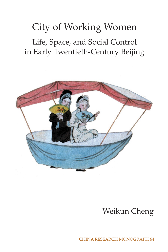# City of Working Women

# Life, Space, and Social Control in Early Twentieth-Century Beijing



Weikun Cheng

CHINA RESEARCH MONOGRAPH 64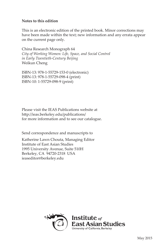#### **Notes to this edition**

This is an electronic edition of the printed book. Minor corrections may have been made within the text; new information and any errata appear on the current page only.

China Research Monograph 64 *City of Working Women: Life, Space, and Social Control in Early Twentieth-Century Beijing* Weikun Cheng

ISBN-13: 978-1-55729-153-0 (electronic) ISBN-13: 978-1-55729-098-4 (print) ISBN-10: 1-55729-098-9 (print)

Please visit the IEAS Publications website at <http://ieas.berkeley.edu/publications/> for more information and to see our catalogue.

Send correspondence and manuscripts to

Katherine Lawn Chouta, Managing Editor Institute of East Asian Studies 1995 University Avenue, Suite 510H Berkeley, CA 94720-2318 USA [ieaseditor@berkeley.edu](mailto:ieaseditor@berkeley.edu)

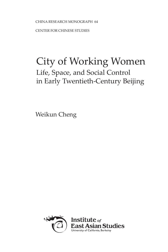CHINA RESEARCH MONOGRAPH 64

CENTER FOR CHINESE STUDIES

# City of Working Women Life, Space, and Social Control in Early Twentieth-Century Beijing

Weikun Cheng

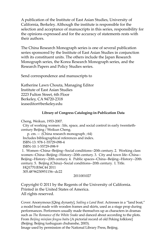A publication of the Institute of East Asian Studies, University of California, Berkeley. Although the institute is responsible for the selection and acceptance of manuscripts in this series, responsibility for the opinions expressed and for the accuracy of statements rests with their authors.

The China Research Monograph series is one of several publication series sponsored by the Institute of East Asian Studies in conjunction with its constituent units. The others include the Japan Research Monograph series, the Korea Research Monograph series, and the Research Papers and Policy Studies series.

Send correspondence and manuscripts to

Katherine Lawn Chouta, Managing Editor Institute of East Asian Studies 2223 Fulton Street, 6th Floor Berkeley, CA 94720-2318 ieaseditor@berkeley.edu

#### **Library of Congress Cataloging-in-Publication Data**

Cheng, Weikun, 1953-2007.

 City of working women : life, space, and social control in early twentiethcentury Beijing / Weikun Cheng.

 p. cm. -- (China research monograph ; 64) Includes bibliographical references and index. ISBN-13: 978-1-55729-098-4 ISBN-10: 1-55729-098-9

 1. Women--China--Beijing--Social conditions--20th century. 2. Working class women--China--Beijing--History--20th century. 3. City and town life--China-- Beijing--History--20th century. 4. Public spaces--China--Beijing--History--20th century. 5. Beijing (China)--Social conditions--20th century. I. Title. HQ1770.B36C44 2011

305.48'96230951156--dc22

#### 2011001027

Copyright © 2011 by the Regents of the University of California. Printed in the United States of America. All rights reserved.

Cover: Anonymous [Qing dynasty], *Sailing a Land Boat*. Actresses in a "land boat," a model boat made with wooden frames and skirts, used as a stage prop during performances. Performers usually made themselves up as characters in dramas such as *The Romance of the White Snake* and danced about according to the plots. From *Beijing minjian fengsu baitu* [A pictorial record of old Peking folklore] (Beijing: Beijing tushuguan chubanshe, 2003).

Image used by permission of the National Library Press, Beijing.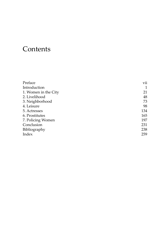# **Contents**

| Preface              | vii |
|----------------------|-----|
| Introduction         | 1   |
| 1. Women in the City | 21  |
| 2. Livelihood        | 48  |
| 3. Neighborhood      | 73  |
| 4. Leisure           | 98  |
| 5. Actresses         | 134 |
| 6. Prostitutes       | 165 |
| 7. Policing Women    | 197 |
| Conclusion           | 231 |
| Bibliography         | 238 |
| Index                | 259 |
|                      |     |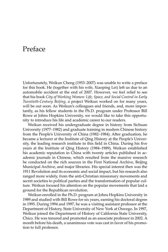# Preface

Unfortunately, Weikun Cheng (1953–2007) was unable to write a preface for this book. He (together with his wife, Xiaoping Lei) left us due to an automobile accident at the end of 2007. However, we feel relief to see that his book *City of Working Women: Life, Space, and Social Control in Early Twentieth-Century Beijing*, a project Weikun worked on for many years, will be out soon. As Weikun's colleagues and friends, and, more importantly, as his fellow students in the Ph.D. program under Professor Bill Rowe at Johns Hopkins University, we would like to take this opportunity to introduce his life and academic career to our readers.

Weikun received his undergraduate degree in history from Sichuan University (1977–1982) and graduate training in modern Chinese history from the People's University of China (1982–1984). After graduation, he became a lecturer at the Institute of Qing History at the People's University, the leading research institute in this field in China. During his five years at the Institute of Qing History (1984–1989), Weikun established his academic reputation in China with twenty articles published in academic journals in Chinese, which resulted from the massive research he conducted on the rich sources in the First National Archive, Beijing Municipal Archive, and major libraries. His special interest then was the 1911 Revolution and its economic and social impact, but his research also ranged more widely, from the anti-Christian missionary movements and secret societies to political parties and the transformation of popular culture. Weikun focused his attention on the popular movements that laid a ground for the Republican revolution.

Weikun enrolled in the Ph.D. program at Johns Hopkins University in 1989 and studied with Bill Rowe for six years, earning his doctoral degree in 1995. During 1994 and 1997, he was a visiting assistant professor at the Department of History, State University of New York at Oswego. In 1997, Weikun joined the Department of History of California State University, Chico. He was tenured and promoted as an associate professor in 2002. A month before his death, a unanimous vote was cast in favor of his promotion to full professor.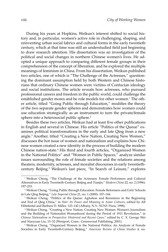During his years at Hopkins, Weikun's interest shifted to social history and, in particular, women's active role in challenging, shaping, and reinventing urban social fabrics and cultural forms in the early twentieth century, which at that time was still an understudied field just beginning to draw research attention. His dissertation was an investigation of the political and social changes in northern Chinese women's lives. He adopted a unique approach to comparing different female groups in their comprehension of the concept of liberation, and he explored the multiple meanings of feminism in China. From his dissertation, Weikun published two articles, one of which is "The Challenge of the Actresses," questioning the dominant assumption held by both Western and Chinese historians that ordinary Chinese women were victims of Confucian ideology and social institutions. The article reveals how actresses, who pursued professional careers and freedom in the public world, could challenge the established gender mores and be role models for other women.<sup>1</sup> The other article, titled "Going Public through Education," modifies the theory of the two separate gender spheres and demonstrates how women could use education strategically as an instrument to turn the private/female sphere into a heterosocial public sphere.<sup>2</sup>

Besides these two articles, Weikun had at least five other publications in English and several in Chinese. His article "Politics of the Queue" examines political transformations in the early and late Qing from a new angle.3 Another, titled "Creating a New Nation, Creating New Women," discusses the hot issue of women and nationalism and explains how Chinese women created a new identity in the process of building the modern Chinese nation-state.<sup>4</sup> His third and fourth articles, "Organized Women in the National Politics" and "Women in Public Spaces," analyze similar issues surrounding the role of female societies and the relations among theaters, modernity, actresses, and moralist discourses in early twentiethcentury Beijing.<sup>5</sup> Weikun's last piece, "In Search of Leisure," explores

<sup>&</sup>lt;sup>1</sup> Weikun Cheng, "The Challenge of the Actresses: Female Performers and Cultural Alternatives in Early Twentieth-Century Beijing and Tianjin," *Modern China* 22, no. 2 (1996): 197–233.

<sup>&</sup>lt;sup>2</sup> Weikun Cheng, "Going Public through Education: Female Reformers and Girls' Schools in Late Qing Beijing," *Late Imperial China* 21, no. 1 (2000): 107–144.

<sup>&</sup>lt;sup>3</sup> Weikun Cheng, "Politics of the Queue: Agitation and Resistance in the Beginning and End of Qing China," in *Hair: Its Power and Meaning in Asian Cultures*, edited by Alf Hiltebeitel and Barbara D. Miller, 123–142 (Albany, N.Y.: SUNY Press, 1998).

<sup>&</sup>lt;sup>4</sup> Weikun Cheng, "Creating a New Nation, Creating New Women: Women's Journalism and the Building of Nationalist Womanhood during the Period of 1911 Revolution," in *Chinese Nationalism in Perspective: Historical and Recent Cases*," edited by C. X. George Wei and Xiaoyuan Liu, 15–32 (Westport, Conn.: Greenwood Publishing, 2001).

<sup>&</sup>lt;sup>5</sup> Weikun Cheng, "Organized Women in the National Politics: An Analysis of Female Societies in Early Twentieth-Century Beijing," *American Review of China Studies* 4, no.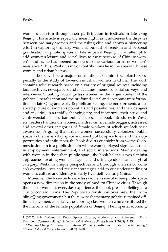women's activism through their participation in festivals in late Qing Beijing. This article is especially meaningful as it addresses the disputes between ordinary women and the ruling elite and shows a pioneering effort in exploring ordinary women's pursuit of freedom and personal gratification in public spaces in late imperial Beijing. In an attempt to add women's leisure and social lives to the repertoire of Chinese women's studies, he has opened our eyes to the various forms of women's resistance.<sup>6</sup> Thus, Weikun's major contributions lie in the area of Chinese women and urban history.

This book will be a major contribution to feminist scholarship, especially to the study of lower-class urban women in China. The work contains solid research based on a variety of original sources including local archives, newspapers and magazines, memoirs, social surveys, and interviews. Situating laboring-class women in the larger context of the political liberalization and the profound social and economic transformations in late Qing and early Republican Beijing, the book presents a nuanced picture of women's potentials and possibilities, and their dangers and anxieties, in a rapidly changing city, and it captures their active and controversial use of urban public spaces. This book introduces to Western readers handicrafts women, maidservants, female beggars, actresses, and several other categories of female workers of which we lack basic awareness. Arguing that urban women successfully colonized public space as their everyday space and used public space to extend their opportunities and influences, the book diverts our sight from women's domestic domain to a public domain where women played significant roles in employment, entertainment, and social interactions. Mainly dealing with women in the urban public space, the book balances two feminist approaches: treating women as agents and using gender as an analytical category. Weikun's unique perspectives and thorough analysis of women's everyday lives and resistant strategies add to our understanding of women's culture and identity in early twentieth-century China.

Moreover, the focus on lower-class women's use of urban public space opens a new dimension in the study of modern Chinese cities. Through the lens of women's everyday experience, the book presents Beijing as a city of contradictions. The Republican revolution overthrew the crumbling Qing government, but the new parliamentary politics remained offlimits to women, especially the laboring-class women who constituted the the majority of the female population of Beijing. The imperial economy,

<sup>1 (2003): 1–14; &</sup>quot;Women in Public Spaces: Theater, Modernity, and Actresses in Early Twentieth-Century Beijing," *Asian Journal of Women's Studies* 9, no. 3 (2003): 7–45.

<sup>&</sup>lt;sup>6</sup> Weikun Cheng, "In Search of Leisure: Women's Festivities in Late Imperial Beijing," *Chinese Historical Review* 14, no. 1 (2007): 1–28.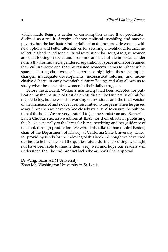which made Beijing a center of consumption rather than production, declined as a result of regime change, political instability, and massive poverty, but the lackluster industrialization did not provide women with new options and better alternatives for securing a livelihood. Radical intellectuals had called for a cultural revolution that sought to give women an equal footing in social and economic arenas, but the imperial gender norms that formulated a gendered separation of space and labor retained their cultural force and thereby resisted women's claims to urban public space. Laboring-class women's experience highlights these incomplete changes, inadequate developments, inconsistent reforms, and inconclusive debates in early twentieth-century Beijing and also allows us to study what these meant to women in their daily struggles.

Before the accident, Weikun's manuscript had been accepted for publication by the Institute of East Asian Studies at the University of California, Berkeley, but he was still working on revisions, and the final version of the manuscript had not yet been submitted to the press when he passed away. Since then we have worked closely with IEAS to ensure the publication of the book. We are very grateful to Joanne Sandstrom and Katherine Lawn Chouta, successive editors at IEAS, for their efforts in publishing this book, especially to the latter for her copyediting and her guidance of the book through production. We would also like to thank Laird Easton, chair of the Department of History at California State University, Chico, for providing funds for the indexing of this book. Although we have tried our best to help answer all the queries raised during its editing, we might not have been able to handle them very well and hope our readers will understand that the end product lacks the author's final approval.

Di Wang, Texas A&M University Zhao Ma, Washington University in St. Louis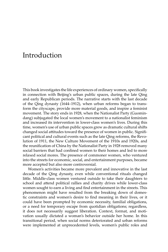## Introduction

This book investigates the life experiences of ordinary women, specifically in connection with Beijing's urban public spaces, during the late Qing and early Republican periods. The narrative starts with the last decade of the Qing dynasty (1644–1912), when urban reforms began to transform the cityscape, provide more material goods, and inspire a feminist movement. The story ends in 1928, when the Nationalist Party (Guomindang) subjugated the local women's movement to a nationalist feminism and increased its intervention in lower-class women's lives. During this time, women's use of urban public spaces grew as dramatic cultural shifts changed social attitudes toward the presence of women in public. Significant political and cultural events such as the late Qing reforms, the Revolution of 1911, the New Culture Movement of the 1910s and 1920s, and the reunification of China by the Nationalist Party in 1928 removed many social barriers that had confined women to their homes and led to more relaxed social mores. The presence of commoner women, who ventured into the streets for economic, social, and entertainment purposes, became more accepted but also more controversial.

Women's activities became more prevalent and innovative in the last decade of the Qing dynasty, even while conventional rituals changed little. Middle-class women ventured outside to take their daughters to school and attend political rallies and charity drives while lower-class women sought to earn a living and find entertainment in the streets. This phenomenon might have resulted from the breaking down of domestic constraints and women's desire to find meaning in their lives, or it could have been prompted by economic necessity, familial obligations, or a need for temporary escape from quotidian obligations; regardless, it does not necessarily suggest liberation. Context, format, and motivation usually dictated a woman's behavior outside her home. In this transitional period, when social norms deteriorated and urban reforms were implemented at unprecedented levels, women's public roles and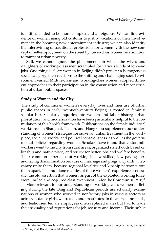identities tended to be more complex and ambiguous. We can find evidence of women using old customs to justify vacations or their involvement in the booming new entertainment industry; we can also identify the intertwining of traditional professions for women with the new concept of self-employment on the street by lower-class women as a solution to rampant urban poverty.

Still, we cannot ignore the phenomenon in which the wives and daughters of working-class men scrambled for various kinds of low-end jobs. One thing is clear: women in Beijing didn't present a homogenous social category; their reactions to the shifting and challenging social environment varied. Middle-class and working-class women adopted different approaches to their participation in the construction and reconstruction of urban public spaces.

#### **Study of Women and the City**

The study of commoner women's everyday lives and their use of urban public spaces in early twentieth-century Beijing is rooted in feminist scholarship. Scholarly inquiries into women and labor history, urban prostitution, and modernization have been particularly helpful to the formulation of this book's framework. Publications on the female industrial workforces in Shanghai, Tianjin, and Hangzhou supplement our understanding of women' strategies for survival, unfair treatment in the workplace, social networks, and political consciousness, as well as the governmental policies regarding women. Scholars have found that cotton mill workers went to the city from rural areas, organized sisterhoods based on kinship and native place, and struck for better jobs and welfare benefits. Their common experience of working in low-skilled, low-paying jobs and facing discrimination because of marriage and pregnancy didn't necessary unite them, because regional loyalties and kinship networks tore them apart. The mundane realities of these women's experiences contradict the old assertion that women, as part of the exploited working force, were unified and acquired class awareness under the Communist Party.<sup>1</sup>

More relevant to our understanding of working-class women in Beijing during the late Qing and Republican periods are scholarly examinations of women who worked in nonfactory jobs in various sectors as actresses, dance girls, waitresses, and prostitutes. In theaters, dance halls, and teahouses, female employees often replaced males but had to trade their sexuality and reputations for job security and income. Their public

<sup>1</sup> Hershatter, *The Workers of Tianjin, 1900–1949*; Honig, *Sisters and Strangers*; Perry, *Shanghai on Strike*; and Rofel, *Other Modernities*.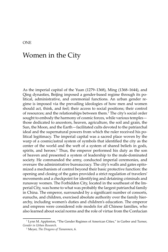#### ONE

# Women in the City

As the imperial capital of the Yuan (1279–1368), Ming (1368–1644), and Qing dynasties, Beijing imposed a gender-based regime through its political, administrative, and ceremonial functions. An urban gender regime is imposed via the prevailing ideologies of how men and women should act, think, and feel; their access to social positions; their control of resources; and the relationships between them.<sup>1</sup> The city's social order sought to embody the harmony of cosmic forces, while various temples those dedicated to ancestors, heaven, agriculture, the soil and grain, the Sun, the Moon, and the Earth—facilitated cults devoted to the patriarchal ideal and the supernatural powers from which the ruler received his political legitimacy. The imperial capital was a sacred place woven by the warp of a cosmic/astral system of symbols that identified the city as the center of the world and the weft of a system of shared beliefs in gods, spirits, and heroes.<sup>2</sup> Thus, the emperor performed his duty as the son of heaven and presented a system of leadership to the male-dominated society. He commanded the army, conducted imperial ceremonies, and oversaw the administrative bureaucracy. The city's walls and gates epitomized a mechanism of control beyond their basic protective function: the opening and closing of the gates provided a strict regulation of travelers' movements and a checkpoint for identifying and detaining criminals and runaway women. The Forbidden City, located in the southeast of the Imperial City, was home to what was probably the largest patriarchal family in China. The emperor, surrounded by a significant number of consorts, eunuchs, and children, exercised absolute authority over the family hierarchy, including women's duties and children's education. The emperor and empress were considered role models for all Chinese families, who also learned about social norms and the role of virtue from the Confucian

<sup>&</sup>lt;sup>1</sup> Lynn M. Applenton, "The Gender Regimes of American Cities," in Garber and Turner, *Gender in Urban Research*.

<sup>2</sup>Meyer, *The Dragons of Tiananmen*, 6.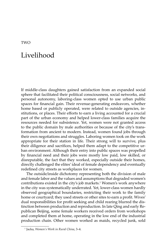#### TWO

# Livelihood

If middle-class daughters gained satisfaction from an expanded social sphere that facilitated their political consciousness, social networks, and personal autonomy, laboring-class women opted to use urban public spaces for financial gain. Their revenue-generating endeavors, whether home based or publicly operated, were related to outside agencies, institutions, or places. Their efforts to earn a living accounted for a crucial part of the urban economy and helped lower-class families acquire the resources needed for subsistence. Yet, women were not granted access to the public domain by male authorities or because of the city's transformation from ancient to modern. Instead, women found jobs through their own negotiations and struggles. Laboring women took on the work appropriate for their station in life. Their strong will to survive, plus their diligence and sacrifices, helped them adapt to the competitive urban environment. Although their entry into public spaces was propelled by financial need and their jobs were mostly low paid, low skilled, or disreputable, the fact that they worked, especially outside their homes, directly challenged the elites' ideal of female dependency and eventually redefined city streets as workplaces for women.

The outside/inside dichotomy representing both the division of male and female labor and the values and assumptions that degraded women's contributions existed in the city's job markets.<sup>1</sup> Women's work anywhere in the city was systematically underrated. Yet, lower-class women hardly observed geographical boundaries, restricting their work to the family home or courtyard; they used streets or other sites to earn a profit. Wives' dual responsibilities for profit seeking and child rearing blurred the distinction between production and reproduction. In late Qing and early Republican Beijing, some female workers received orders from workshops and completed them at home, operating in the low end of the industrial production chain. Other women worked as maids, recycled junk, sold

<sup>&</sup>lt;sup>1</sup> Jacka, *Women's Work in Rural China*, 3-4.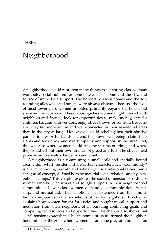#### THREE

# Neighborhood

A neighborhood could represent many things to a laboring-class woman: work site, social hub, buffer zone between her home and the city, and source of immediate support. The borders between homes and the surrounding alleyways and streets were always obscured because the lives of most lower-class women unfolded primarily beyond the household and even the courtyard. These laboring-class women might interact with neighbors and friends, look for opportunities to make money, care for children, bargain with vendors, enjoy street shows, or confront trespassers. They felt more secure and well-connected in their residential areas than in the city at large. Housewives could rebel against their abusive parents-in-law or husbands, defend their own well-being, claim their rights and territories, and win sympathy and support in the street. Yet, this was also where women could become victims of crime, and where they could act out their own dramas of greed and lust. The streets held promise but were also dangerous and cruel.

A neighborhood is a community, a small-scale and spatially bound area within which residents share certain characteristics. "Community" is a term connoting warmth and solidarity. It is a relational rather than a categorical concept, defined both by material social relations and by symbolic meanings.<sup>1</sup> This chapter explores the social dimension of ordinary women who built networks and sought support in their neighborhood communities. Lower-class women demanded communication, friendship, and mutual aid. Their emotional ties extended from their multifamily compounds to the households of nearby neighbors. This chapter explains how women fought for justice and sought moral support and mediation from their neighbors, often pursuing conflicting goals and competing for resources and opportunities. The chapter also shows that social tensions exacerbated by economic pressure turned the neighborhood into a battle zone where women became the prey of criminals, ran

<sup>1</sup>McDowell, *Gender, Identity, and Place*, 100.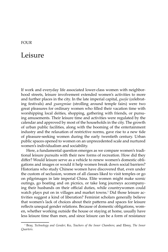#### FOUR

# Leisure

If work and everyday life associated lower-class women with neighborhood streets, leisure involvement extended women's activities to more and further places in the city. In the late imperial capital, *guojie* (celebrating festivals) and *guangmiao* (strolling around temple fairs) were two great pleasures for ordinary women who filled their vacation time with worshipping local deities, shopping, gathering with friends, or pursuing amusements. Their leisure time and activities were regulated by the calendar and approved by most of the households in the city. The growth of urban public facilities, along with the booming of the entertainment industry and the relaxation of restrictive norms, gave rise to a new tide of pleasure-seeking women during the early twentieth century. Urban public spaces opened to women on an unprecedented scale and nurtured women's individualism and sociability.

Here, a fundamental question emerges as we compare women's traditional leisure pursuits with their new forms of recreation. How did they differ? Would leisure serve as a vehicle to renew women's domestic obligations and images or would it help women break down social barriers? Historians who study Chinese women have discovered that, even under the custom of seclusion, women of all classes liked to visit temples or go on pilgrimages in late imperial China. Elite women might make scenic outings, go boating and on picnics, or take long journeys accompanying their husbands on their official duties, while countrywomen could watch plays put on in villages and market towns.<sup>1</sup> Did those leisure activities suggest a kind of liberation? Feminist scholars generally believe that women's lack of choices about their patterns and spaces for leisure reflects unequal gender relations. Because of domestic obligations, women, whether working outside the house or staying at home, usually have less leisure time than men, and since leisure can be a form of resistance

<sup>1</sup>Bray, *Technology and Gender*; Ko, *Teachers of the Inner Chambers*; and Ebrey, *The Inner Quarters.*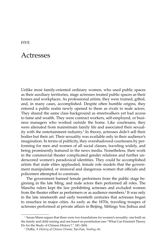#### FIVE

### Actresses

Unlike most family-oriented ordinary women, who used public spaces as their auxiliary territories, stage actresses treated public spaces as their homes and workplaces. As professional artists, they were trained, gifted, and, in many cases, accomplished. Despite often humble origins, they entered a public realm newly opened to them as rivals to male actors. They shared the same class background as streetwalkers yet had access to fame and wealth. They were contract workers, self-employed, or business managers who worked outside the home. Like courtesans, they were alienated from mainstream family life and associated their sexuality with the entertainment industry.<sup>1</sup> In theory, actresses didn't sell their bodies but their art. Their sexuality was available only in their audience's imagination. In terms of publicity, they overshadowed courtesans by performing for men and women of all social classes, traveling widely, and being prominently featured in the news media. Nonetheless, their work in the commercial theater complicated gender relations and further underscored women's paradoxical identities. They could be accomplished artists that male elites applauded, female role models that the government manipulated, or immoral and dangerous women that officials and policemen attempted to constrain.

The government banned female performers from the public stage beginning in the late Ming, and male actors then performed all roles. The Manchu rulers kept the law prohibiting actresses and excluded women from the theater either as performers or as audience members.<sup>2</sup> It was only in the late nineteenth and early twentieth centuries that actresses began to resurface in major cities. As early as the 1870s, traveling troupes of actresses performed at private affairs in Beijing. Siblings You Jinhua and

<sup>&</sup>lt;sup>1</sup> Susan Mann argues that there were two foundations for women's sexuality: one built on the family and child rearing and one based on prostitution (see "What Can Feminist Theory Do for the Study of Chinese History?," 241–260).

<sup>2</sup>Dolby, *A History of Chinese Drama*; Tan Fan, *Youling shi*.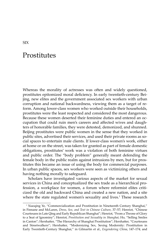## **Prostitutes**

Whereas the morality of actresses was often and widely questioned, prostitutes epitomized moral deficiency. In early twentieth-century Beijing, new elites and the government associated sex workers with urban corruption and national backwardness, viewing them as a target of reform. Among lower-class women who worked outside their households, prostitutes were the least respected and considered the most dangerous. Because these women deserted their feminine duties and entered an occupation that could ruin men's careers and affected wives and daughters of honorable families, they were detested, demonized, and shunned. Beijing prostitutes were public women in the sense that they worked in public sites, advertised their services, and used their private rooms as social spaces to entertain male clients. If lower-class women's work, either at home or on the street, was taken for granted as part of female domestic obligations, prostitutes' work was a violation of both feminine virtues and public order. The "body problem" generally meant defending the female body in the public realm against intrusions by men, but for prostitutes this became an issue of using the body for commercial purposes. In urban public spaces, sex workers were seen as victimizing others and having nothing morally to safeguard.

Scholars have investigated various aspects of the market for sexual services in China and conceptualized the sex trade as a hierarchical profession, a workplace for women, a forum where reformist elites criticized the old and backward China and created a new nation, and a site where the state regulated women's sexuality and lives.<sup>1</sup> These research

SIX

<sup>&</sup>lt;sup>1</sup>Xiaoqing Ye, "Commercialization and Prostitution in Nineteenth Century Shanghai," in Finnane and McLaren, *Dress, Sex, and Text in Chinese Culture*, 37–57; Henriot, "Chinese Courtesans in Late Qing and Early Republican Shanghai"; Henriot, "From a Throne of Glory to a Seat of Ignominy"; Henriot, *Prostitution and Sexuality in Shanghai*; Ho, "Selling Smiles in Canton"; Hershatter, "The Hierarchy of Shanghai Prostitution"; Hershatter, "Courtesans and Streetwalkers"; Hershatter, "Modernizing Sex, Sexing Modernity: Prostitution in Early Twentieth-Century Shanghai," in Gilmartin et al., *Engendering China*, 147–174; and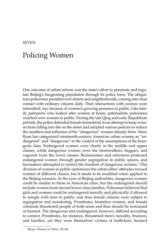#### **SEVEN**

# Policing Women

One outcome of urban reform was the state's effort to penetrate and regulate Beijing's burgeoning population through its police force. The ubiquitous policemen presided over streets and neighborhoods, coming into close contact with ordinary citizens daily. Their interactions with women were intensified, too, because of women's growing presence in public. Like family patriarchs who looked after women at home, paternalistic policemen watched over women in public. During the late Qing and early Republican periods, the police defended female domesticity in an attempt to keep women from falling into life on the street and adopted various policies to reduce the numbers and influence of the "dangerous" women already there. Mary Ryan has categorized nineteenth-century American urban women as "endangered" and "dangerous" in the context of the assumptions of the bourgeois class. Endangered women were clearly in the middle and upper classes, while dangerous women were the streetwalkers, beggars, and vagrants from the lower classes. Businessmen and reformers protected endangered women through gender segregation in public spaces, and lawmakers attempted to restrict the freedom of dangerous women.<sup>1</sup> This division of women in public epitomizes the urban elites' attitudes toward women of different classes, but it needs to be modified when applied to the Beijing scenario. In the eyes of Beijing authorities, dangerous women could be similar to those in American cities, but the endangered should include women from decent lower-class families. Policemen believed that girls and women could be endangered morally and physically if allowed to mingle with men in public, and thus female citizens were subject to segregation and monitoring. Prostitutes, homeless women, and female criminals threatened people of both sexes and thus should be restrained or banned. The dangerous and endangered, however, differed according to context. Prostitutes, for instance, threatened men's morality, finances, and families, yet they were themselves victims of traffickers, bustard

<sup>1</sup>Ryan, *Women in Public*, 58–94.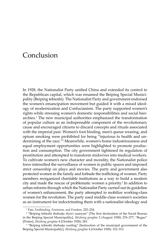### Conclusion

In 1928, the Nationalist Party unified China and extended its control to the Republican capital, which was renamed the Beiping Special Municipality (Beiping tebieshi). The Nationalist Party and government endorsed the women's emancipation movement but guided it with a mixed ideology of modernization and Confucianism. The party supported women's rights while stressing women's domestic responsibilities and social hierarchies.<sup>1</sup> The new municipal authorities emphasized the transformation of popular culture as an indispensable component of the revolutionary cause and encouraged citizens to discard concepts and rituals associated with the imperial past. Women's foot binding, men's queue wearing, and opium smoking were prohibited for being "injurious to health and undermining of the race."2 Meanwhile, women's home industriousness and equal employment opportunities were highlighted to promote production and consumption. The city government tightened its regulation of prostitution and attempted to transform midwives into medical workers. To cultivate women's new character and morality, the Nationalist police force intensified the surveillance of women in public spaces and imposed strict censorship on plays and movies. The party and government also protected women in the family and forbade the trafficking of women. Party members reorganized charitable institutions as a way to build a modern city and made the rescue of problematic women a priority.3 In addition to urban reforms through which the Nationalist Party carried out its guideline of women's enhancement, the party attempted to mobilize working-class women for the revolution. The party used middle-class women's societies as an instrument for indoctrinating them with a nationalist ideology and

<sup>1</sup> Fan, *Footbinding, Feminism, and Freedom*, 225–254.

<sup>&</sup>lt;sup>2</sup> "Beiping tebieshi shehuiju diyici xuanyan" [The first declaration of the Social Bureau in the Beiping Special Municipality], *Shizheng gongbao* 2 (August 1928): 276–277; "Bugao" [Poster], *Shizheng gongbao* 4 (October 1928): 283.

<sup>&</sup>lt;sup>3</sup> "Beiping tebieshi shehuiju xunling" [Instruction of the municipal government of the Beiping Special Municipality], *Shizheng gongbao* 4 (October 1928): 312–313.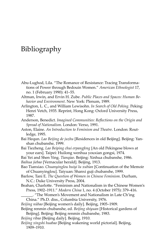# Bibliography

- Abu-Lughod, Lila. "The Romance of Resistance: Tracing Transformations of Power through Bedouin Women." *American Ethnologist* 17, no. 1 (February 1990): 41–55.
- Altman, Irwin, and Ervin H. Zube. *Public Places and Spaces: Human Behavior and Environment*. New York: Plenum, 1989.
- Arlington, L. C., and William Lewisohn. *In Search of Old Peking*. Peking: Henri Vetch, 1935. Reprint, Hong Kong: Oxford University Press, 1987.
- Anderson, Benedict. *Imagined Communities: Reflections on the Origin and Spread of Nationalism*. London: Verso, 1991.
- Aston, Elaine. *An Introduction to Feminism and Theatre*. London: Routledge, 1995.
- Bai Hequn. *Lao Beijing de juzhu* [Residences in old Beijing]. Beijing: Yanshan chubanshe, 1999.
- Bai Tiezheng. *Lao Beiping chui erpangfeng* [An old Pekingese blows at your ears]. Taipei: Huilong wenhua youxian gongsi, 1974.
- Bai Yei and Shen Ying. *Tianqiao*. Beijing: Xinhua chubanshe, 1986.
- *Baihua jiebao* [Vernacular herald]. Beijing, 1913.
- Bao Tianxiao. *Chuanyinglou huiyi lu xubian* [Continuation of the Memoir of Chuanyinglou]. Taiyuan: Shanxi guji chubanshe, 1999.
- Barlow, Tani E. *The Question of Women in Chinese Feminism*. Durham, N.C.: Duke University Press, 2004.
- Beahan, Charlotte. "Feminism and Nationalism in the Chinese Women's Press, 1902–1911." *Modern China* 1, no. 4 (October 1975): 379–416.
	- \_\_\_\_\_\_. "The Women's Movement and Nationalism in Late Ch'ing China." Ph.D. diss., Columbia University, 1976.
- *Beijing nübao* [Beijing women's daily]. Beijing, 1905–1909.
- Beijing renmin chubanshe, ed. *Beijing shiyuan* [Historical gardens of

Beijing]. Beijing: Beijing renmin chubanshe, 1983.

- *Beijing ribao* [Beijing daily]. Beijing, 1910.
- *Beijing xingshi huabao* [Beijing wakening world pictorial]. Beijing, 1909–1910.